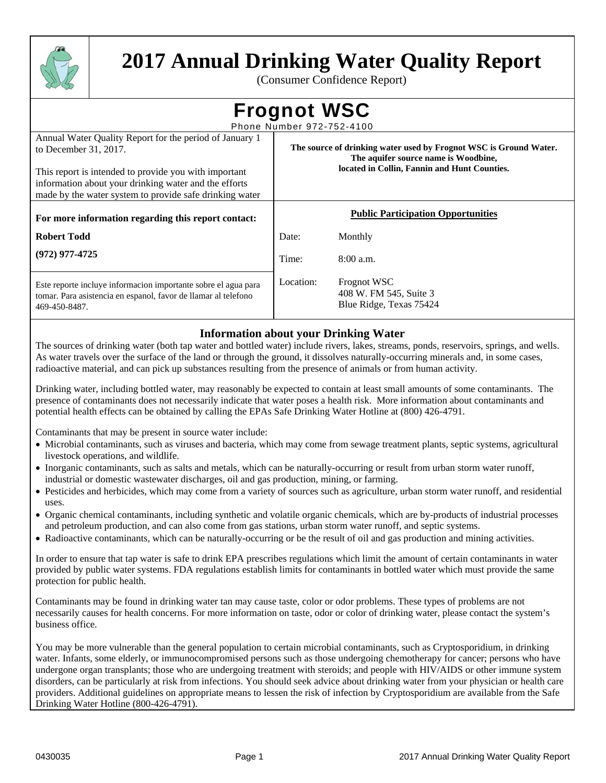

# **2017 Annual Drinking Water Quality Report**

(Consumer Confidence Report)

**Frognot WSC** 

Phone Number 972-752-4100 Annual Water Quality Report for the period of January 1 to December 31, 2017. This report is intended to provide you with important information about your drinking water and the efforts made by the water system to provide safe drinking water **The source of drinking water used by Frognot WSC is Ground Water. The aquifer source name is Woodbine, located in Collin, Fannin and Hunt Counties. For more information regarding this report contact: Robert Todd (972) 977-4725 Public Participation Opportunities**  Date: Monthly Time: 8:00 a.m. Location: Frognot WSC 408 W. FM 545, Suite 3 Blue Ridge, Texas 75424 Este reporte incluye informacion importante sobre el agua para tomar. Para asistencia en espanol, favor de llamar al telefono 469-450-8487.

# **Information about your Drinking Water**

The sources of drinking water (both tap water and bottled water) include rivers, lakes, streams, ponds, reservoirs, springs, and wells. As water travels over the surface of the land or through the ground, it dissolves naturally-occurring minerals and, in some cases, radioactive material, and can pick up substances resulting from the presence of animals or from human activity.

Drinking water, including bottled water, may reasonably be expected to contain at least small amounts of some contaminants. The presence of contaminants does not necessarily indicate that water poses a health risk. More information about contaminants and potential health effects can be obtained by calling the EPAs Safe Drinking Water Hotline at (800) 426-4791.

Contaminants that may be present in source water include:

- Microbial contaminants, such as viruses and bacteria, which may come from sewage treatment plants, septic systems, agricultural livestock operations, and wildlife.
- Inorganic contaminants, such as salts and metals, which can be naturally-occurring or result from urban storm water runoff, industrial or domestic wastewater discharges, oil and gas production, mining, or farming.
- Pesticides and herbicides, which may come from a variety of sources such as agriculture, urban storm water runoff, and residential uses.
- Organic chemical contaminants, including synthetic and volatile organic chemicals, which are by-products of industrial processes and petroleum production, and can also come from gas stations, urban storm water runoff, and septic systems.
- Radioactive contaminants, which can be naturally-occurring or be the result of oil and gas production and mining activities.

In order to ensure that tap water is safe to drink EPA prescribes regulations which limit the amount of certain contaminants in water provided by public water systems. FDA regulations establish limits for contaminants in bottled water which must provide the same protection for public health.

Contaminants may be found in drinking water tan may cause taste, color or odor problems. These types of problems are not necessarily causes for health concerns. For more information on taste, odor or color of drinking water, please contact the system's business office.

You may be more vulnerable than the general population to certain microbial contaminants, such as Cryptosporidium, in drinking water. Infants, some elderly, or immunocompromised persons such as those undergoing chemotherapy for cancer; persons who have undergone organ transplants; those who are undergoing treatment with steroids; and people with HIV/AIDS or other immune system disorders, can be particularly at risk from infections. You should seek advice about drinking water from your physician or health care providers. Additional guidelines on appropriate means to lessen the risk of infection by Cryptosporidium are available from the Safe Drinking Water Hotline (800-426-4791).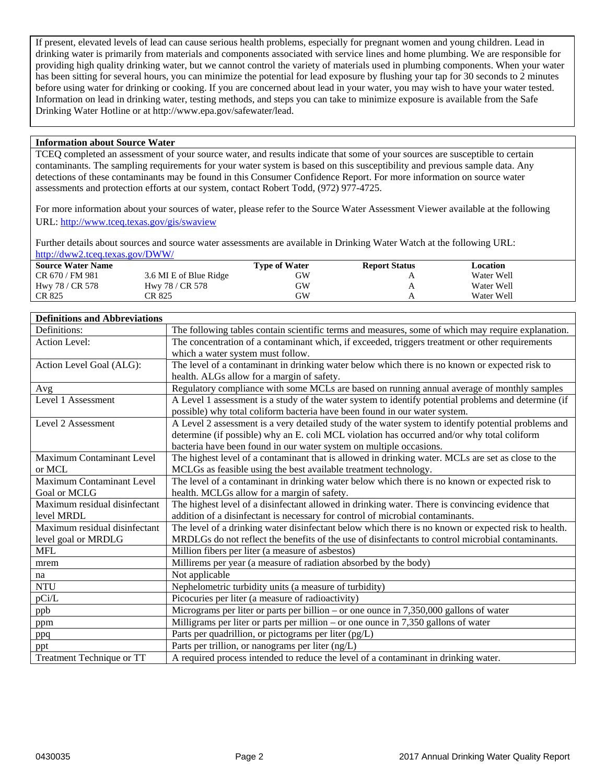If present, elevated levels of lead can cause serious health problems, especially for pregnant women and young children. Lead in drinking water is primarily from materials and components associated with service lines and home plumbing. We are responsible for providing high quality drinking water, but we cannot control the variety of materials used in plumbing components. When your water has been sitting for several hours, you can minimize the potential for lead exposure by flushing your tap for 30 seconds to 2 minutes before using water for drinking or cooking. If you are concerned about lead in your water, you may wish to have your water tested. Information on lead in drinking water, testing methods, and steps you can take to minimize exposure is available from the Safe Drinking Water Hotline or at http://www.epa.gov/safewater/lead.

## **Information about Source Water**

TCEQ completed an assessment of your source water, and results indicate that some of your sources are susceptible to certain contaminants. The sampling requirements for your water system is based on this susceptibility and previous sample data. Any detections of these contaminants may be found in this Consumer Confidence Report. For more information on source water assessments and protection efforts at our system, contact Robert Todd, (972) 977-4725.

For more information about your sources of water, please refer to the Source Water Assessment Viewer available at the following URL: http://www.tceq.texas.gov/gis/swaview

Further details about sources and source water assessments are available in Drinking Water Watch at the following URL: http://dww2.tceq.texas.gov/DWW/

| <b>Source Water Name</b> |                        | <b>Type of Water</b> | <b>Report Status</b> | Location   |  |
|--------------------------|------------------------|----------------------|----------------------|------------|--|
| CR 670 / FM 981          | 3.6 MI E of Blue Ridge | GW                   |                      | Water Well |  |
| Hwy 78 / CR 578          | Hwy 78 / CR 578        | GW                   |                      | Water Well |  |
| CR 825                   | CR 825                 | GW                   |                      | Water Well |  |

#### **Definitions and Abbreviations**

| Definitions:                     | The following tables contain scientific terms and measures, some of which may require explanation.   |
|----------------------------------|------------------------------------------------------------------------------------------------------|
| <b>Action Level:</b>             | The concentration of a contaminant which, if exceeded, triggers treatment or other requirements      |
|                                  | which a water system must follow.                                                                    |
| Action Level Goal (ALG):         | The level of a contaminant in drinking water below which there is no known or expected risk to       |
|                                  | health. ALGs allow for a margin of safety.                                                           |
| Avg                              | Regulatory compliance with some MCLs are based on running annual average of monthly samples          |
| Level 1 Assessment               | A Level 1 assessment is a study of the water system to identify potential problems and determine (if |
|                                  | possible) why total coliform bacteria have been found in our water system.                           |
| Level 2 Assessment               | A Level 2 assessment is a very detailed study of the water system to identify potential problems and |
|                                  | determine (if possible) why an E. coli MCL violation has occurred and/or why total coliform          |
|                                  | bacteria have been found in our water system on multiple occasions.                                  |
| Maximum Contaminant Level        | The highest level of a contaminant that is allowed in drinking water. MCLs are set as close to the   |
| or MCL                           | MCLGs as feasible using the best available treatment technology.                                     |
| Maximum Contaminant Level        | The level of a contaminant in drinking water below which there is no known or expected risk to       |
| Goal or MCLG                     | health. MCLGs allow for a margin of safety.                                                          |
| Maximum residual disinfectant    | The highest level of a disinfectant allowed in drinking water. There is convincing evidence that     |
| level MRDL                       | addition of a disinfectant is necessary for control of microbial contaminants.                       |
| Maximum residual disinfectant    | The level of a drinking water disinfectant below which there is no known or expected risk to health. |
| level goal or MRDLG              | MRDLGs do not reflect the benefits of the use of disinfectants to control microbial contaminants.    |
| <b>MFL</b>                       | Million fibers per liter (a measure of asbestos)                                                     |
| mrem                             | Millirems per year (a measure of radiation absorbed by the body)                                     |
| na                               | Not applicable                                                                                       |
| <b>NTU</b>                       | Nephelometric turbidity units (a measure of turbidity)                                               |
| pCi/L                            | Picocuries per liter (a measure of radioactivity)                                                    |
| ppb                              | Micrograms per liter or parts per billion – or one ounce in $7,350,000$ gallons of water             |
| ppm                              | Milligrams per liter or parts per million - or one ounce in 7,350 gallons of water                   |
| ppq                              | Parts per quadrillion, or pictograms per liter (pg/L)                                                |
| ppt                              | Parts per trillion, or nanograms per liter (ng/L)                                                    |
| <b>Treatment Technique or TT</b> | A required process intended to reduce the level of a contaminant in drinking water.                  |